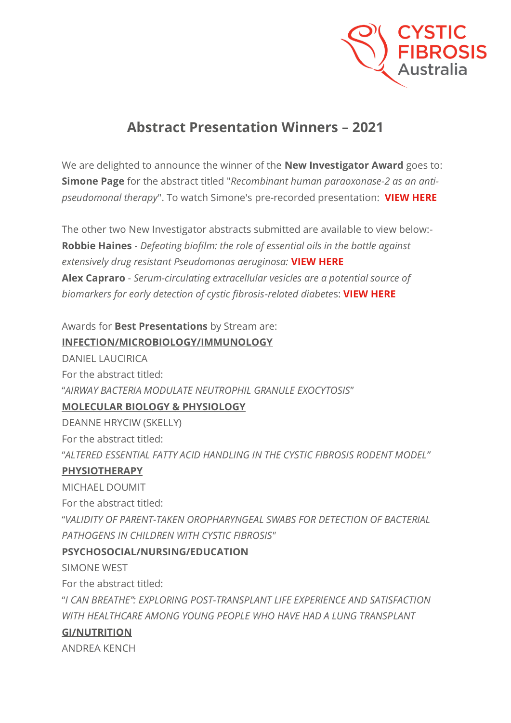

# **Abstract Presentation Winners – 2021**

We are delighted to announce the winner of the **New Investigator Award** goes to: **Simone Page** for the abstract titled "*Recombinant human paraoxonase-2 as an antipseudomonal therapy*". To watch Simone's pre-recorded presentation: **[VIEW HERE](https://vimeo.com/651036149)**

The other two New Investigator abstracts submitted are available to view below:- **Robbie Haines** - *Defeating biofilm: the role of essential oils in the battle against extensively drug resistant Pseudomonas aeruginosa:* **[VIEW HERE](https://vimeo.com/651036376) Alex Capraro** - *Serum-circulating extracellular vesicles are a potential source of biomarkers for early detection of cystic fibrosis-related diabete*s: **[VIEW HERE](https://vimeo.com/651036720)**

Awards for **Best Presentations** by Stream are: **INFECTION/MICROBIOLOGY/IMMUNOLOGY**

DANIEL LAUCIRICA For the abstract titled: "*AIRWAY BACTERIA MODULATE NEUTROPHIL GRANULE EXOCYTOSIS*" **MOLECULAR BIOLOGY & PHYSIOLOGY**

DEANNE HRYCIW (SKELLY)

For the abstract titled:

"*ALTERED ESSENTIAL FATTY ACID HANDLING IN THE CYSTIC FIBROSIS RODENT MODEL"*

### **PHYSIOTHERAPY**

MICHAEL DOUMIT

For the abstract titled:

"*VALIDITY OF PARENT-TAKEN OROPHARYNGEAL SWABS FOR DETECTION OF BACTERIAL PATHOGENS IN CHILDREN WITH CYSTIC FIBROSIS"*

### **PSYCHOSOCIAL/NURSING/EDUCATION**

SIMONE WEST

For the abstract titled:

"*I CAN BREATHE": EXPLORING POST-TRANSPLANT LIFE EXPERIENCE AND SATISFACTION WITH HEALTHCARE AMONG YOUNG PEOPLE WHO HAVE HAD A LUNG TRANSPLANT*

### **GI/NUTRITION**

ANDREA KENCH